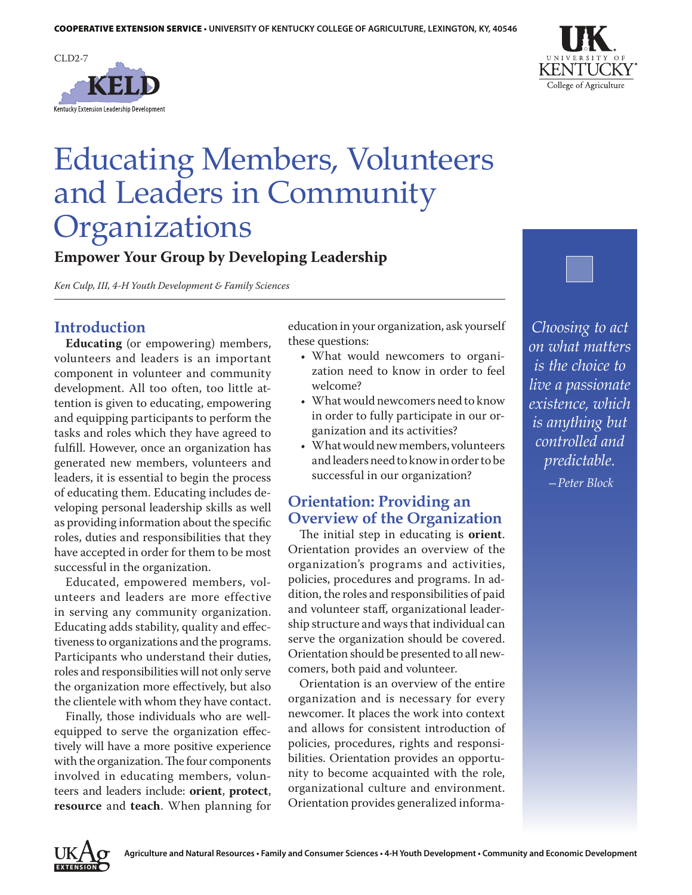



# Educating Members, Volunteers and Leaders in Community **Organizations**

**Empower Your Group by Developing Leadership** 

*Ken Culp, III, 4-H Youth Development & Family Sciences*

### **Introduction**

**Educating** (or empowering) members, volunteers and leaders is an important component in volunteer and community development. All too often, too little attention is given to educating, empowering and equipping participants to perform the tasks and roles which they have agreed to fulfill. However, once an organization has generated new members, volunteers and leaders, it is essential to begin the process of educating them. Educating includes developing personal leadership skills as well as providing information about the specific roles, duties and responsibilities that they have accepted in order for them to be most successful in the organization.

Educated, empowered members, volunteers and leaders are more effective in serving any community organization. Educating adds stability, quality and effectiveness to organizations and the programs. Participants who understand their duties, roles and responsibilities will not only serve the organization more effectively, but also the clientele with whom they have contact.

Finally, those individuals who are wellequipped to serve the organization effectively will have a more positive experience with the organization. The four components involved in educating members, volunteers and leaders include: **orient**, **protect**, **resource** and **teach**. When planning for education in your organization, ask yourself these questions:

- What would newcomers to organization need to know in order to feel welcome?
- What would newcomers need to know in order to fully participate in our organization and its activities?
- What would new members, volunteers and leaders need to know in order to be successful in our organization?

### **Orientation: Providing an Overview of the Organization**

The initial step in educating is **orient**. Orientation provides an overview of the organization's programs and activities, policies, procedures and programs. In addition, the roles and responsibilities of paid and volunteer staff, organizational leadership structure and ways that individual can serve the organization should be covered. Orientation should be presented to all newcomers, both paid and volunteer.

Orientation is an overview of the entire organization and is necessary for every newcomer. It places the work into context and allows for consistent introduction of policies, procedures, rights and responsibilities. Orientation provides an opportunity to become acquainted with the role, organizational culture and environment. Orientation provides generalized informa-



**EXTENSION**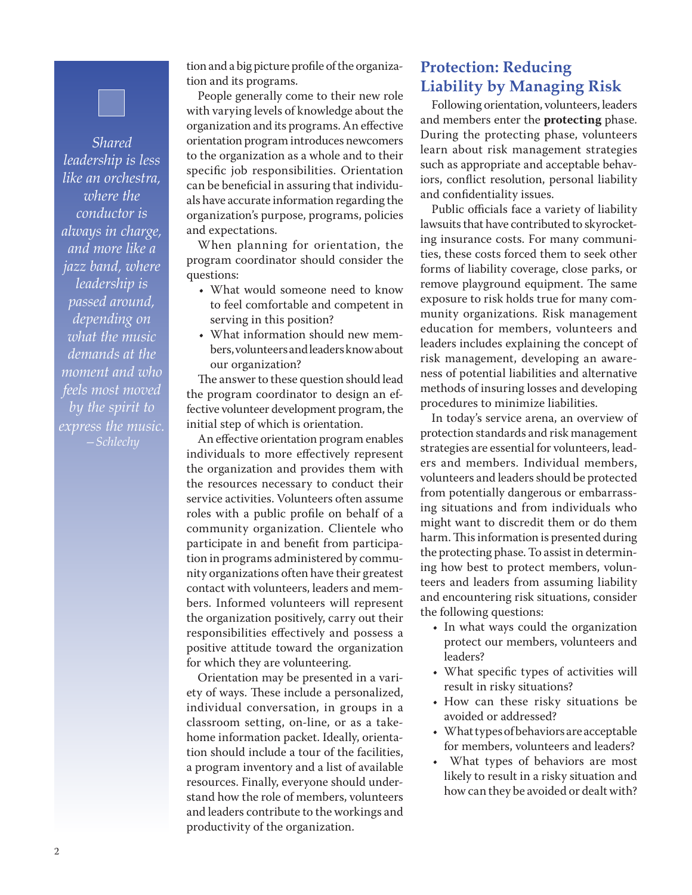*Shared leadership is less like an orchestra, where the conductor is always in charge, and more like a jazz band, where leadership is passed around, depending on what the music demands at the moment and who feels most moved by the spirit to express the music. —Schlechy*

tion and a big picture profile of the organization and its programs.

People generally come to their new role with varying levels of knowledge about the organization and its programs. An effective orientation program introduces newcomers to the organization as a whole and to their specific job responsibilities. Orientation can be beneficial in assuring that individuals have accurate information regarding the organization's purpose, programs, policies and expectations.

When planning for orientation, the program coordinator should consider the questions:

- What would someone need to know to feel comfortable and competent in serving in this position?
- What information should new members, volunteers and leaders know about our organization?

The answer to these question should lead the program coordinator to design an effective volunteer development program, the initial step of which is orientation.

An effective orientation program enables individuals to more effectively represent the organization and provides them with the resources necessary to conduct their service activities. Volunteers often assume roles with a public profile on behalf of a community organization. Clientele who participate in and benefit from participation in programs administered by community organizations often have their greatest contact with volunteers, leaders and members. Informed volunteers will represent the organization positively, carry out their responsibilities effectively and possess a positive attitude toward the organization for which they are volunteering.

Orientation may be presented in a variety of ways. These include a personalized, individual conversation, in groups in a classroom setting, on-line, or as a takehome information packet. Ideally, orientation should include a tour of the facilities, a program inventory and a list of available resources. Finally, everyone should understand how the role of members, volunteers and leaders contribute to the workings and productivity of the organization.

## **Protection: Reducing Liability by Managing Risk**

Following orientation, volunteers, leaders and members enter the **protecting** phase. During the protecting phase, volunteers learn about risk management strategies such as appropriate and acceptable behaviors, conflict resolution, personal liability and confidentiality issues.

Public officials face a variety of liability lawsuits that have contributed to skyrocketing insurance costs. For many communities, these costs forced them to seek other forms of liability coverage, close parks, or remove playground equipment. The same exposure to risk holds true for many community organizations. Risk management education for members, volunteers and leaders includes explaining the concept of risk management, developing an awareness of potential liabilities and alternative methods of insuring losses and developing procedures to minimize liabilities.

In today's service arena, an overview of protection standards and risk management strategies are essential for volunteers, leaders and members. Individual members, volunteers and leaders should be protected from potentially dangerous or embarrassing situations and from individuals who might want to discredit them or do them harm. This information is presented during the protecting phase. To assist in determining how best to protect members, volunteers and leaders from assuming liability and encountering risk situations, consider the following questions:

- In what ways could the organization protect our members, volunteers and leaders?
- • What specific types of activities will result in risky situations?
- • How can these risky situations be avoided or addressed?
- • What types of behaviors are acceptable for members, volunteers and leaders?
- • What types of behaviors are most likely to result in a risky situation and how can they be avoided or dealt with?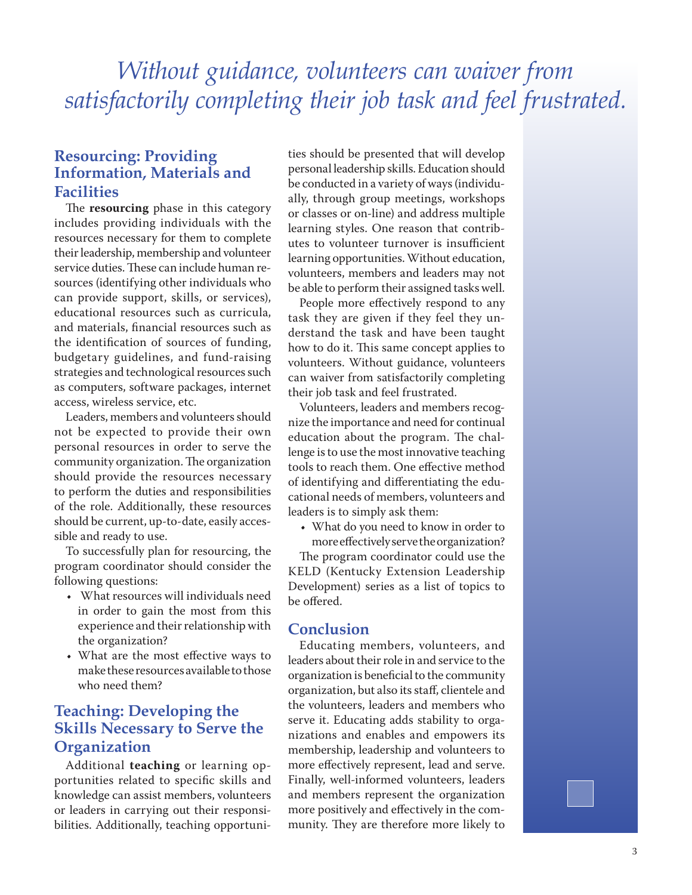# *Without guidance, volunteers can waiver from satisfactorily completing their job task and feel frustrated.*

### **Resourcing: Providing Information, Materials and Facilities**

The **resourcing** phase in this category includes providing individuals with the resources necessary for them to complete their leadership, membership and volunteer service duties. These can include human resources (identifying other individuals who can provide support, skills, or services), educational resources such as curricula, and materials, financial resources such as the identification of sources of funding, budgetary guidelines, and fund-raising strategies and technological resources such as computers, software packages, internet access, wireless service, etc.

Leaders, members and volunteers should not be expected to provide their own personal resources in order to serve the community organization. The organization should provide the resources necessary to perform the duties and responsibilities of the role. Additionally, these resources should be current, up-to-date, easily accessible and ready to use.

To successfully plan for resourcing, the program coordinator should consider the following questions:

- • What resources will individuals need in order to gain the most from this experience and their relationship with the organization?
- • What are the most effective ways to make these resources available to those who need them?

### **Teaching: Developing the Skills Necessary to Serve the Organization**

Additional **teaching** or learning opportunities related to specific skills and knowledge can assist members, volunteers or leaders in carrying out their responsibilities. Additionally, teaching opportunities should be presented that will develop personal leadership skills. Education should be conducted in a variety of ways (individually, through group meetings, workshops or classes or on-line) and address multiple learning styles. One reason that contributes to volunteer turnover is insufficient learning opportunities. Without education, volunteers, members and leaders may not be able to perform their assigned tasks well.

People more effectively respond to any task they are given if they feel they understand the task and have been taught how to do it. This same concept applies to volunteers. Without guidance, volunteers can waiver from satisfactorily completing their job task and feel frustrated.

Volunteers, leaders and members recognize the importance and need for continual education about the program. The challenge is to use the most innovative teaching tools to reach them. One effective method of identifying and differentiating the educational needs of members, volunteers and leaders is to simply ask them:

• What do you need to know in order to more effectively serve the organization?

The program coordinator could use the KELD (Kentucky Extension Leadership Development) series as a list of topics to be offered.

### **Conclusion**

Educating members, volunteers, and leaders about their role in and service to the organization is beneficial to the community organization, but also its staff, clientele and the volunteers, leaders and members who serve it. Educating adds stability to organizations and enables and empowers its membership, leadership and volunteers to more effectively represent, lead and serve. Finally, well-informed volunteers, leaders and members represent the organization more positively and effectively in the community. They are therefore more likely to